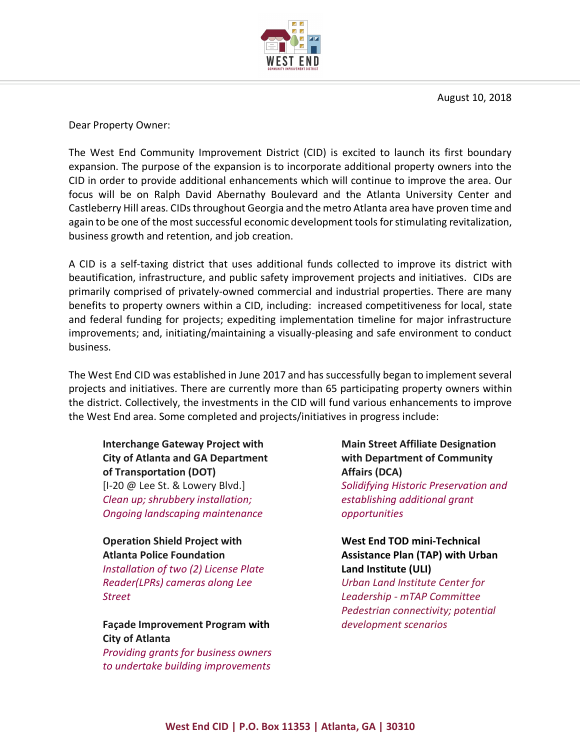

August 10, 2018

Dear Property Owner:

The West End Community Improvement District (CID) is excited to launch its first boundary expansion. The purpose of the expansion is to incorporate additional property owners into the CID in order to provide additional enhancements which will continue to improve the area. Our focus will be on Ralph David Abernathy Boulevard and the Atlanta University Center and Castleberry Hill areas. CIDs throughout Georgia and the metro Atlanta area have proven time and again to be one of the most successful economic development tools for stimulating revitalization, business growth and retention, and job creation.

A CID is a self-taxing district that uses additional funds collected to improve its district with beautification, infrastructure, and public safety improvement projects and initiatives. CIDs are primarily comprised of privately-owned commercial and industrial properties. There are many benefits to property owners within a CID, including: increased competitiveness for local, state and federal funding for projects; expediting implementation timeline for major infrastructure improvements; and, initiating/maintaining a visually-pleasing and safe environment to conduct business.

The West End CID was established in June 2017 and has successfully began to implement several projects and initiatives. There are currently more than 65 participating property owners within the district. Collectively, the investments in the CID will fund various enhancements to improve the West End area. Some completed and projects/initiatives in progress include:

**Interchange Gateway Project with City of Atlanta and GA Department of Transportation (DOT)** [I-20 @ Lee St. & Lowery Blvd.] *Clean up; shrubbery installation; Ongoing landscaping maintenance*

## **Operation Shield Project with Atlanta Police Foundation**

*Installation of two (2) License Plate Reader(LPRs) cameras along Lee Street*

## **Façade Improvement Program with City of Atlanta**

*Providing grants for business owners to undertake building improvements*

**Main Street Affiliate Designation with Department of Community Affairs (DCA)** *Solidifying Historic Preservation and establishing additional grant opportunities*

## **West End TOD mini-Technical Assistance Plan (TAP) with Urban Land Institute (ULI)**

*Urban Land Institute Center for Leadership - mTAP Committee Pedestrian connectivity; potential development scenarios*